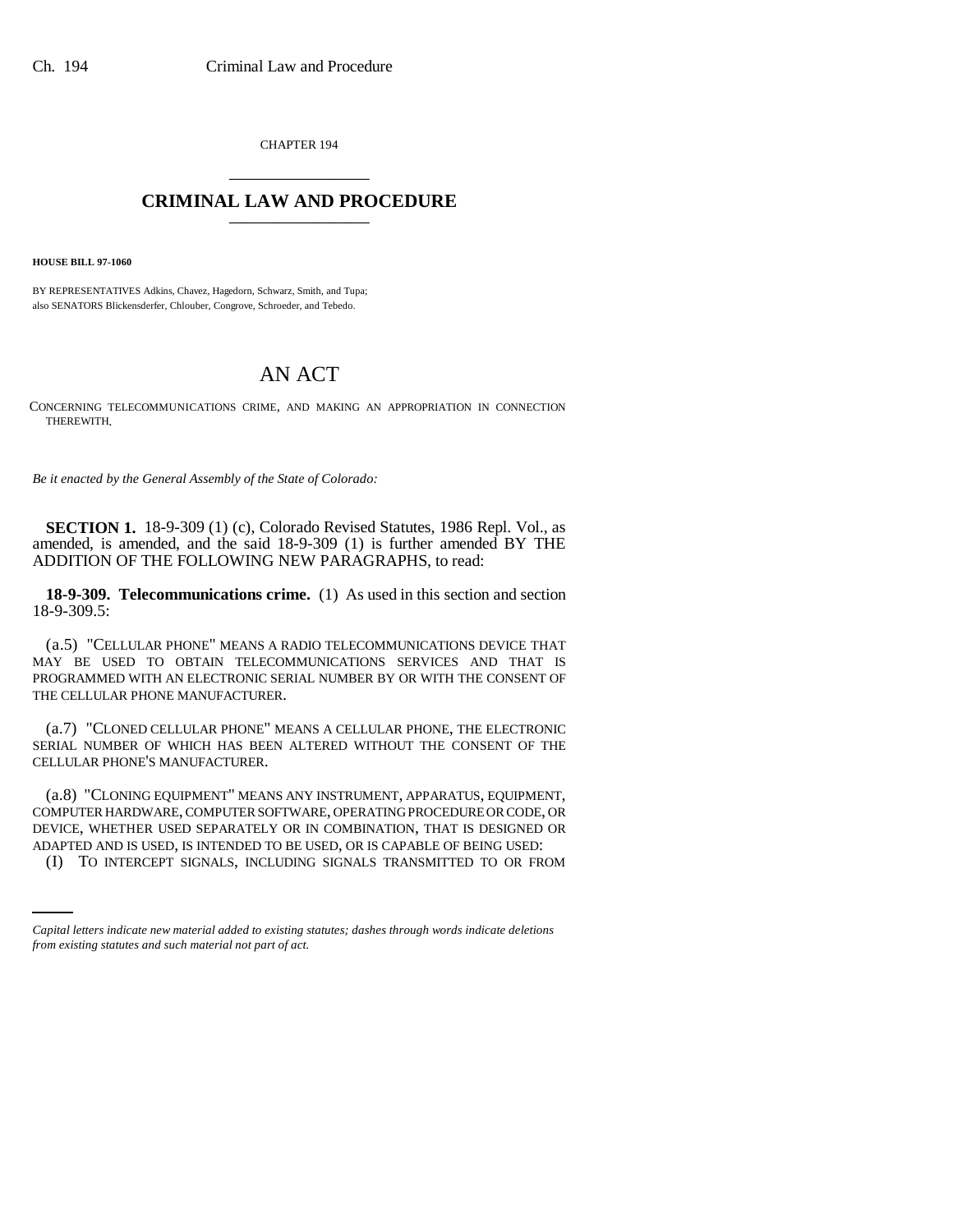CHAPTER 194 \_\_\_\_\_\_\_\_\_\_\_\_\_\_\_

## **CRIMINAL LAW AND PROCEDURE** \_\_\_\_\_\_\_\_\_\_\_\_\_\_\_

**HOUSE BILL 97-1060**

BY REPRESENTATIVES Adkins, Chavez, Hagedorn, Schwarz, Smith, and Tupa; also SENATORS Blickensderfer, Chlouber, Congrove, Schroeder, and Tebedo.

# AN ACT

CONCERNING TELECOMMUNICATIONS CRIME, AND MAKING AN APPROPRIATION IN CONNECTION THEREWITH.

*Be it enacted by the General Assembly of the State of Colorado:*

**SECTION 1.** 18-9-309 (1) (c), Colorado Revised Statutes, 1986 Repl. Vol., as amended, is amended, and the said 18-9-309 (1) is further amended BY THE ADDITION OF THE FOLLOWING NEW PARAGRAPHS, to read:

**18-9-309. Telecommunications crime.** (1) As used in this section and section 18-9-309.5:

(a.5) "CELLULAR PHONE" MEANS A RADIO TELECOMMUNICATIONS DEVICE THAT MAY BE USED TO OBTAIN TELECOMMUNICATIONS SERVICES AND THAT IS PROGRAMMED WITH AN ELECTRONIC SERIAL NUMBER BY OR WITH THE CONSENT OF THE CELLULAR PHONE MANUFACTURER.

(a.7) "CLONED CELLULAR PHONE" MEANS A CELLULAR PHONE, THE ELECTRONIC SERIAL NUMBER OF WHICH HAS BEEN ALTERED WITHOUT THE CONSENT OF THE CELLULAR PHONE'S MANUFACTURER.

DEVICE, WHETHER USED SEPARATELY OR IN COMBINATION, THAT IS DESIGNED OR (a.8) "CLONING EQUIPMENT" MEANS ANY INSTRUMENT, APPARATUS, EQUIPMENT, COMPUTER HARDWARE, COMPUTER SOFTWARE, OPERATING PROCEDURE OR CODE, OR ADAPTED AND IS USED, IS INTENDED TO BE USED, OR IS CAPABLE OF BEING USED:

(I) TO INTERCEPT SIGNALS, INCLUDING SIGNALS TRANSMITTED TO OR FROM

*Capital letters indicate new material added to existing statutes; dashes through words indicate deletions from existing statutes and such material not part of act.*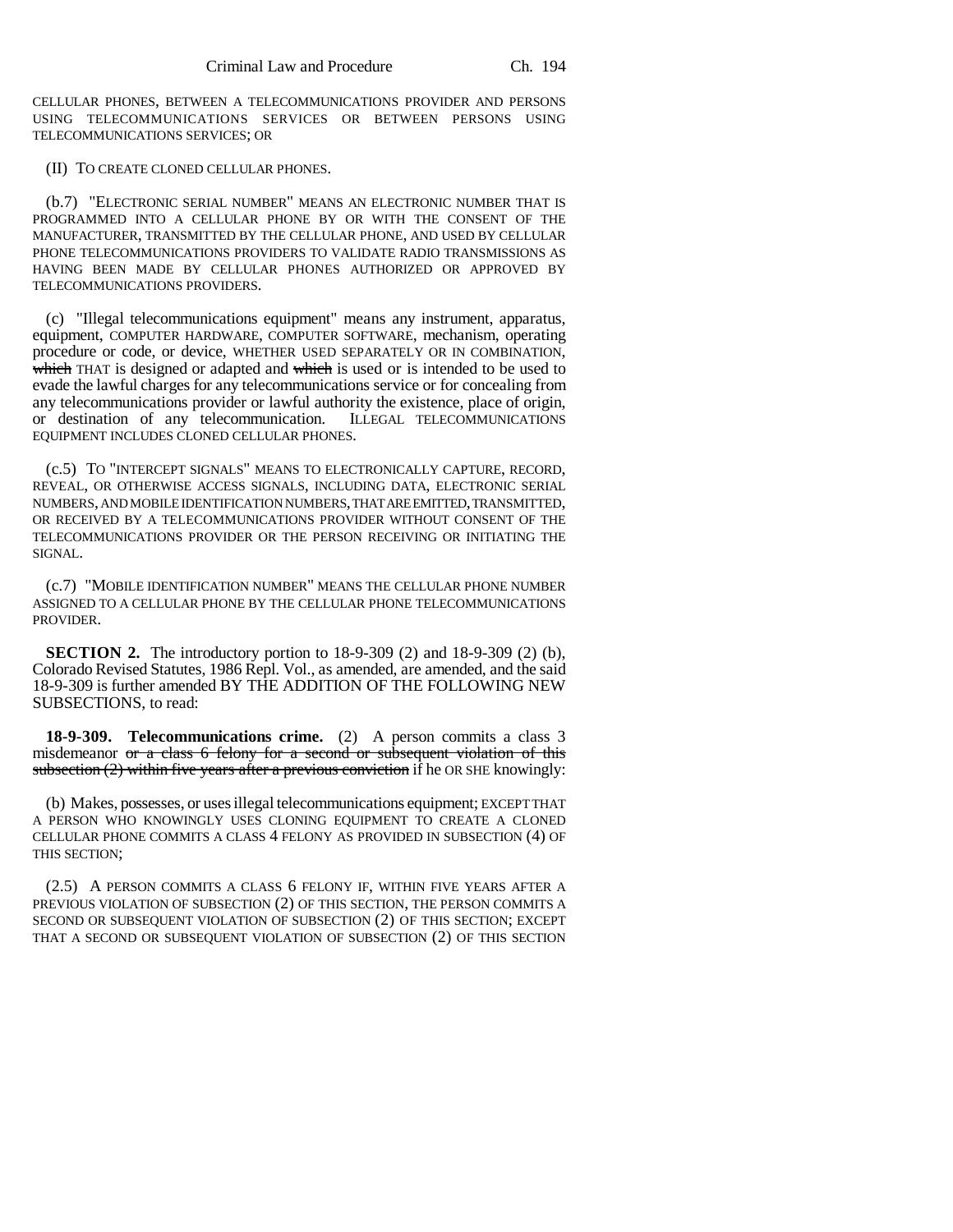CELLULAR PHONES, BETWEEN A TELECOMMUNICATIONS PROVIDER AND PERSONS USING TELECOMMUNICATIONS SERVICES OR BETWEEN PERSONS USING TELECOMMUNICATIONS SERVICES; OR

#### (II) TO CREATE CLONED CELLULAR PHONES.

(b.7) "ELECTRONIC SERIAL NUMBER" MEANS AN ELECTRONIC NUMBER THAT IS PROGRAMMED INTO A CELLULAR PHONE BY OR WITH THE CONSENT OF THE MANUFACTURER, TRANSMITTED BY THE CELLULAR PHONE, AND USED BY CELLULAR PHONE TELECOMMUNICATIONS PROVIDERS TO VALIDATE RADIO TRANSMISSIONS AS HAVING BEEN MADE BY CELLULAR PHONES AUTHORIZED OR APPROVED BY TELECOMMUNICATIONS PROVIDERS.

(c) "Illegal telecommunications equipment" means any instrument, apparatus, equipment, COMPUTER HARDWARE, COMPUTER SOFTWARE, mechanism, operating procedure or code, or device, WHETHER USED SEPARATELY OR IN COMBINATION, which THAT is designed or adapted and which is used or is intended to be used to evade the lawful charges for any telecommunications service or for concealing from any telecommunications provider or lawful authority the existence, place of origin, or destination of any telecommunication. ILLEGAL TELECOMMUNICATIONS EQUIPMENT INCLUDES CLONED CELLULAR PHONES.

(c.5) TO "INTERCEPT SIGNALS" MEANS TO ELECTRONICALLY CAPTURE, RECORD, REVEAL, OR OTHERWISE ACCESS SIGNALS, INCLUDING DATA, ELECTRONIC SERIAL NUMBERS, AND MOBILE IDENTIFICATION NUMBERS, THAT ARE EMITTED, TRANSMITTED, OR RECEIVED BY A TELECOMMUNICATIONS PROVIDER WITHOUT CONSENT OF THE TELECOMMUNICATIONS PROVIDER OR THE PERSON RECEIVING OR INITIATING THE SIGNAL.

(c.7) "MOBILE IDENTIFICATION NUMBER" MEANS THE CELLULAR PHONE NUMBER ASSIGNED TO A CELLULAR PHONE BY THE CELLULAR PHONE TELECOMMUNICATIONS PROVIDER.

**SECTION 2.** The introductory portion to 18-9-309 (2) and 18-9-309 (2) (b), Colorado Revised Statutes, 1986 Repl. Vol., as amended, are amended, and the said 18-9-309 is further amended BY THE ADDITION OF THE FOLLOWING NEW SUBSECTIONS, to read:

**18-9-309. Telecommunications crime.** (2) A person commits a class 3 misdemeanor or a class 6 felony for a second or subsequent violation of this subsection  $(2)$  within five years after a previous conviction if he OR SHE knowingly:

(b) Makes, possesses, or uses illegal telecommunications equipment; EXCEPT THAT A PERSON WHO KNOWINGLY USES CLONING EQUIPMENT TO CREATE A CLONED CELLULAR PHONE COMMITS A CLASS 4 FELONY AS PROVIDED IN SUBSECTION (4) OF THIS SECTION;

(2.5) A PERSON COMMITS A CLASS 6 FELONY IF, WITHIN FIVE YEARS AFTER A PREVIOUS VIOLATION OF SUBSECTION (2) OF THIS SECTION, THE PERSON COMMITS A SECOND OR SUBSEQUENT VIOLATION OF SUBSECTION (2) OF THIS SECTION; EXCEPT THAT A SECOND OR SUBSEQUENT VIOLATION OF SUBSECTION (2) OF THIS SECTION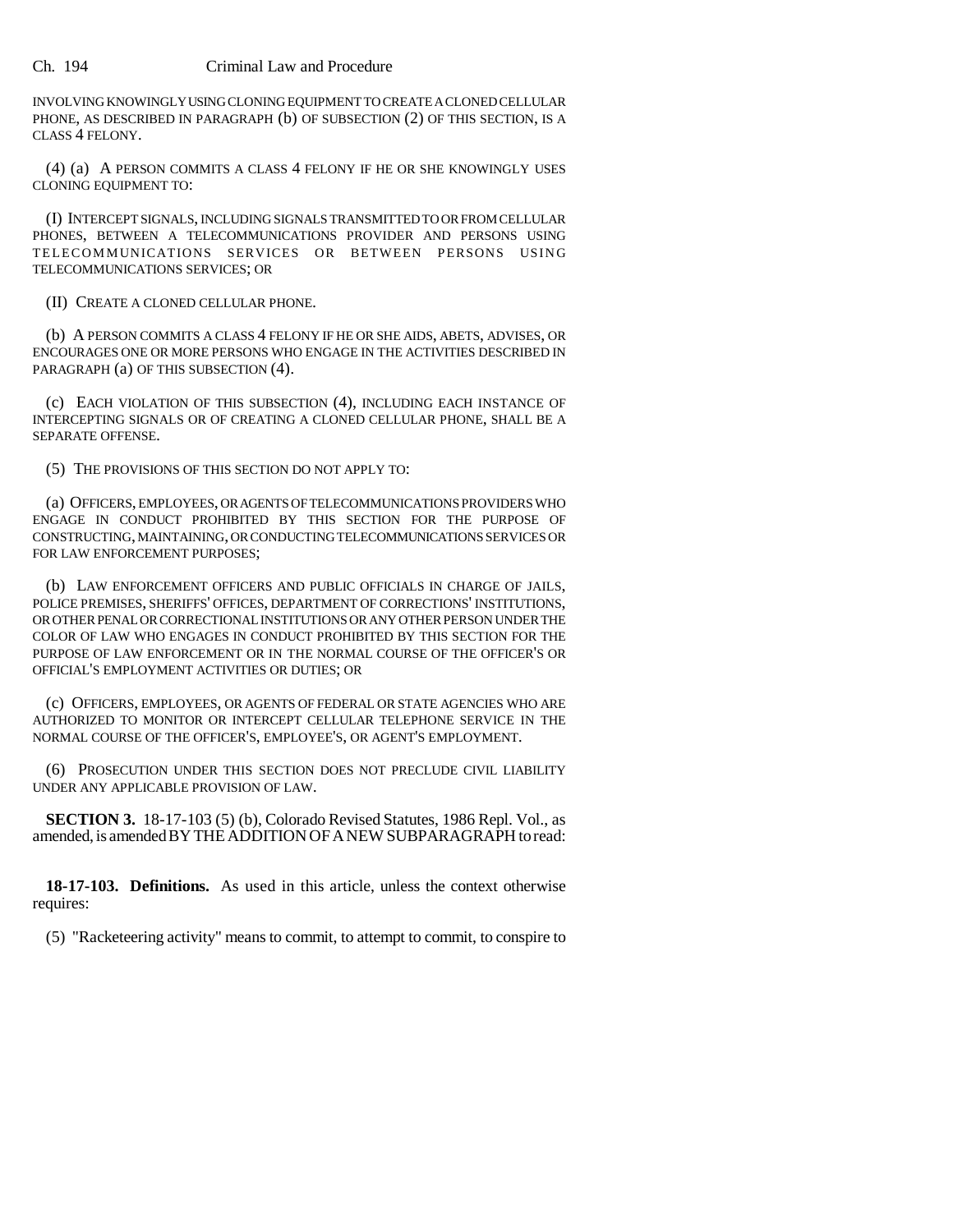#### Ch. 194 Criminal Law and Procedure

INVOLVING KNOWINGLY USING CLONING EQUIPMENT TO CREATE A CLONED CELLULAR PHONE, AS DESCRIBED IN PARAGRAPH (b) OF SUBSECTION (2) OF THIS SECTION, IS A CLASS 4 FELONY.

(4) (a) A PERSON COMMITS A CLASS 4 FELONY IF HE OR SHE KNOWINGLY USES CLONING EQUIPMENT TO:

(I) INTERCEPT SIGNALS, INCLUDING SIGNALS TRANSMITTED TO OR FROM CELLULAR PHONES, BETWEEN A TELECOMMUNICATIONS PROVIDER AND PERSONS USING TELECOMMUNICATIONS SERVICES OR BETWEEN PERSONS USING TELECOMMUNICATIONS SERVICES; OR

(II) CREATE A CLONED CELLULAR PHONE.

(b) A PERSON COMMITS A CLASS 4 FELONY IF HE OR SHE AIDS, ABETS, ADVISES, OR ENCOURAGES ONE OR MORE PERSONS WHO ENGAGE IN THE ACTIVITIES DESCRIBED IN PARAGRAPH (a) OF THIS SUBSECTION (4).

(c) EACH VIOLATION OF THIS SUBSECTION (4), INCLUDING EACH INSTANCE OF INTERCEPTING SIGNALS OR OF CREATING A CLONED CELLULAR PHONE, SHALL BE A SEPARATE OFFENSE.

(5) THE PROVISIONS OF THIS SECTION DO NOT APPLY TO:

(a) OFFICERS, EMPLOYEES, OR AGENTS OF TELECOMMUNICATIONS PROVIDERS WHO ENGAGE IN CONDUCT PROHIBITED BY THIS SECTION FOR THE PURPOSE OF CONSTRUCTING, MAINTAINING, OR CONDUCTING TELECOMMUNICATIONS SERVICES OR FOR LAW ENFORCEMENT PURPOSES;

(b) LAW ENFORCEMENT OFFICERS AND PUBLIC OFFICIALS IN CHARGE OF JAILS, POLICE PREMISES, SHERIFFS' OFFICES, DEPARTMENT OF CORRECTIONS' INSTITUTIONS, OR OTHER PENAL OR CORRECTIONAL INSTITUTIONS OR ANY OTHER PERSON UNDER THE COLOR OF LAW WHO ENGAGES IN CONDUCT PROHIBITED BY THIS SECTION FOR THE PURPOSE OF LAW ENFORCEMENT OR IN THE NORMAL COURSE OF THE OFFICER'S OR OFFICIAL'S EMPLOYMENT ACTIVITIES OR DUTIES; OR

(c) OFFICERS, EMPLOYEES, OR AGENTS OF FEDERAL OR STATE AGENCIES WHO ARE AUTHORIZED TO MONITOR OR INTERCEPT CELLULAR TELEPHONE SERVICE IN THE NORMAL COURSE OF THE OFFICER'S, EMPLOYEE'S, OR AGENT'S EMPLOYMENT.

(6) PROSECUTION UNDER THIS SECTION DOES NOT PRECLUDE CIVIL LIABILITY UNDER ANY APPLICABLE PROVISION OF LAW.

**SECTION 3.** 18-17-103 (5) (b), Colorado Revised Statutes, 1986 Repl. Vol., as amended, is amended BY THE ADDITION OF A NEW SUBPARAGRAPH to read:

**18-17-103. Definitions.** As used in this article, unless the context otherwise requires:

(5) "Racketeering activity" means to commit, to attempt to commit, to conspire to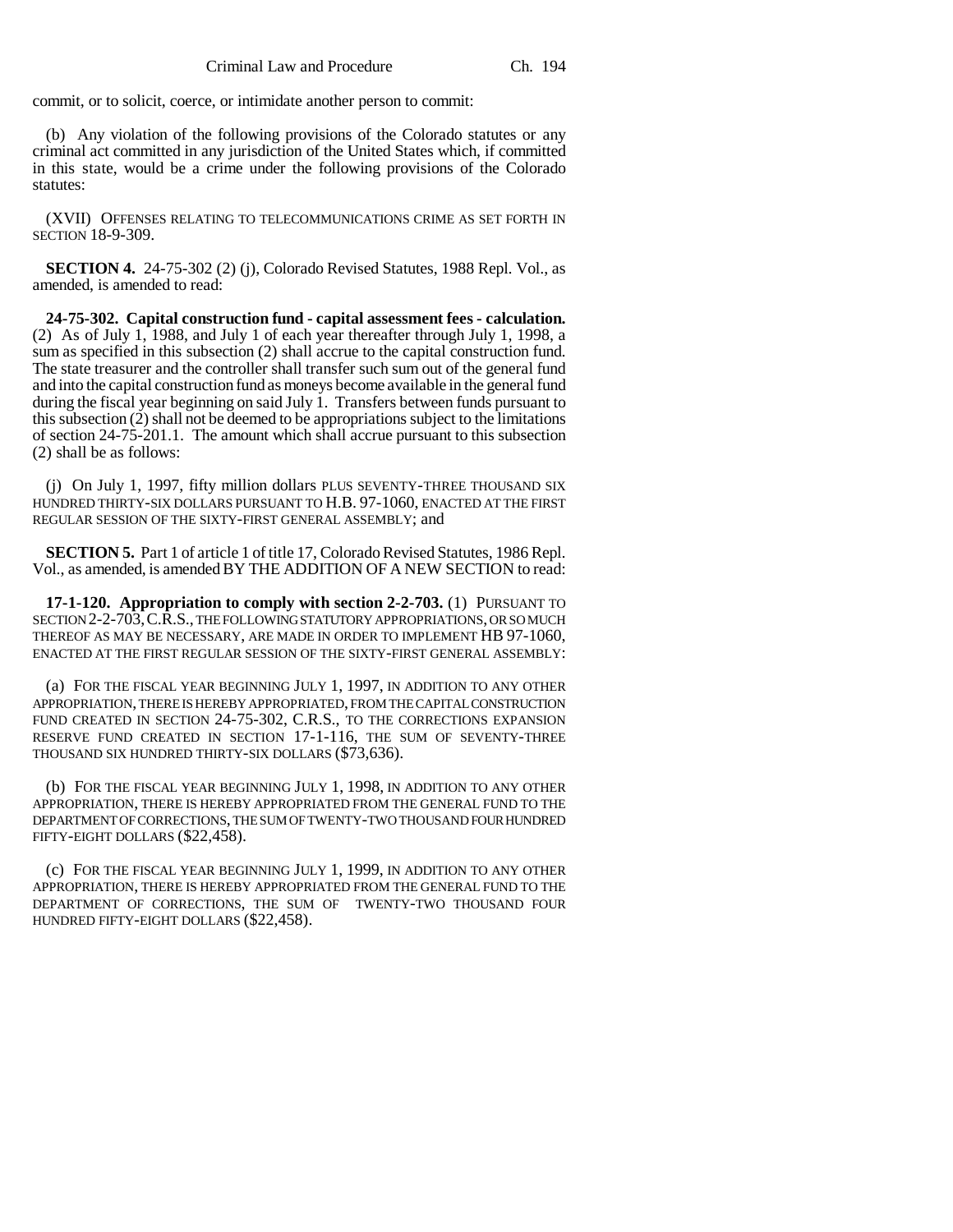commit, or to solicit, coerce, or intimidate another person to commit:

(b) Any violation of the following provisions of the Colorado statutes or any criminal act committed in any jurisdiction of the United States which, if committed in this state, would be a crime under the following provisions of the Colorado statutes:

(XVII) OFFENSES RELATING TO TELECOMMUNICATIONS CRIME AS SET FORTH IN SECTION 18-9-309.

**SECTION 4.** 24-75-302 (2) (j), Colorado Revised Statutes, 1988 Repl. Vol., as amended, is amended to read:

**24-75-302. Capital construction fund - capital assessment fees - calculation.** (2) As of July 1, 1988, and July 1 of each year thereafter through July 1, 1998, a sum as specified in this subsection (2) shall accrue to the capital construction fund. The state treasurer and the controller shall transfer such sum out of the general fund and into the capital construction fund as moneys become available in the general fund during the fiscal year beginning on said July 1. Transfers between funds pursuant to this subsection (2) shall not be deemed to be appropriations subject to the limitations of section 24-75-201.1. The amount which shall accrue pursuant to this subsection (2) shall be as follows:

(j) On July 1, 1997, fifty million dollars PLUS SEVENTY-THREE THOUSAND SIX HUNDRED THIRTY-SIX DOLLARS PURSUANT TO H.B. 97-1060, ENACTED AT THE FIRST REGULAR SESSION OF THE SIXTY-FIRST GENERAL ASSEMBLY; and

**SECTION 5.** Part 1 of article 1 of title 17, Colorado Revised Statutes, 1986 Repl. Vol., as amended, is amended BY THE ADDITION OF A NEW SECTION to read:

**17-1-120. Appropriation to comply with section 2-2-703.** (1) PURSUANT TO SECTION 2-2-703,C.R.S., THE FOLLOWING STATUTORY APPROPRIATIONS, OR SO MUCH THEREOF AS MAY BE NECESSARY, ARE MADE IN ORDER TO IMPLEMENT HB 97-1060, ENACTED AT THE FIRST REGULAR SESSION OF THE SIXTY-FIRST GENERAL ASSEMBLY:

(a) FOR THE FISCAL YEAR BEGINNING JULY 1, 1997, IN ADDITION TO ANY OTHER APPROPRIATION, THERE IS HEREBY APPROPRIATED, FROM THE CAPITAL CONSTRUCTION FUND CREATED IN SECTION 24-75-302, C.R.S., TO THE CORRECTIONS EXPANSION RESERVE FUND CREATED IN SECTION 17-1-116, THE SUM OF SEVENTY-THREE THOUSAND SIX HUNDRED THIRTY-SIX DOLLARS (\$73,636).

(b) FOR THE FISCAL YEAR BEGINNING JULY 1, 1998, IN ADDITION TO ANY OTHER APPROPRIATION, THERE IS HEREBY APPROPRIATED FROM THE GENERAL FUND TO THE DEPARTMENT OF CORRECTIONS, THE SUM OF TWENTY-TWO THOUSAND FOUR HUNDRED FIFTY-EIGHT DOLLARS (\$22,458).

(c) FOR THE FISCAL YEAR BEGINNING JULY 1, 1999, IN ADDITION TO ANY OTHER APPROPRIATION, THERE IS HEREBY APPROPRIATED FROM THE GENERAL FUND TO THE DEPARTMENT OF CORRECTIONS, THE SUM OF TWENTY-TWO THOUSAND FOUR HUNDRED FIFTY-EIGHT DOLLARS (\$22,458).